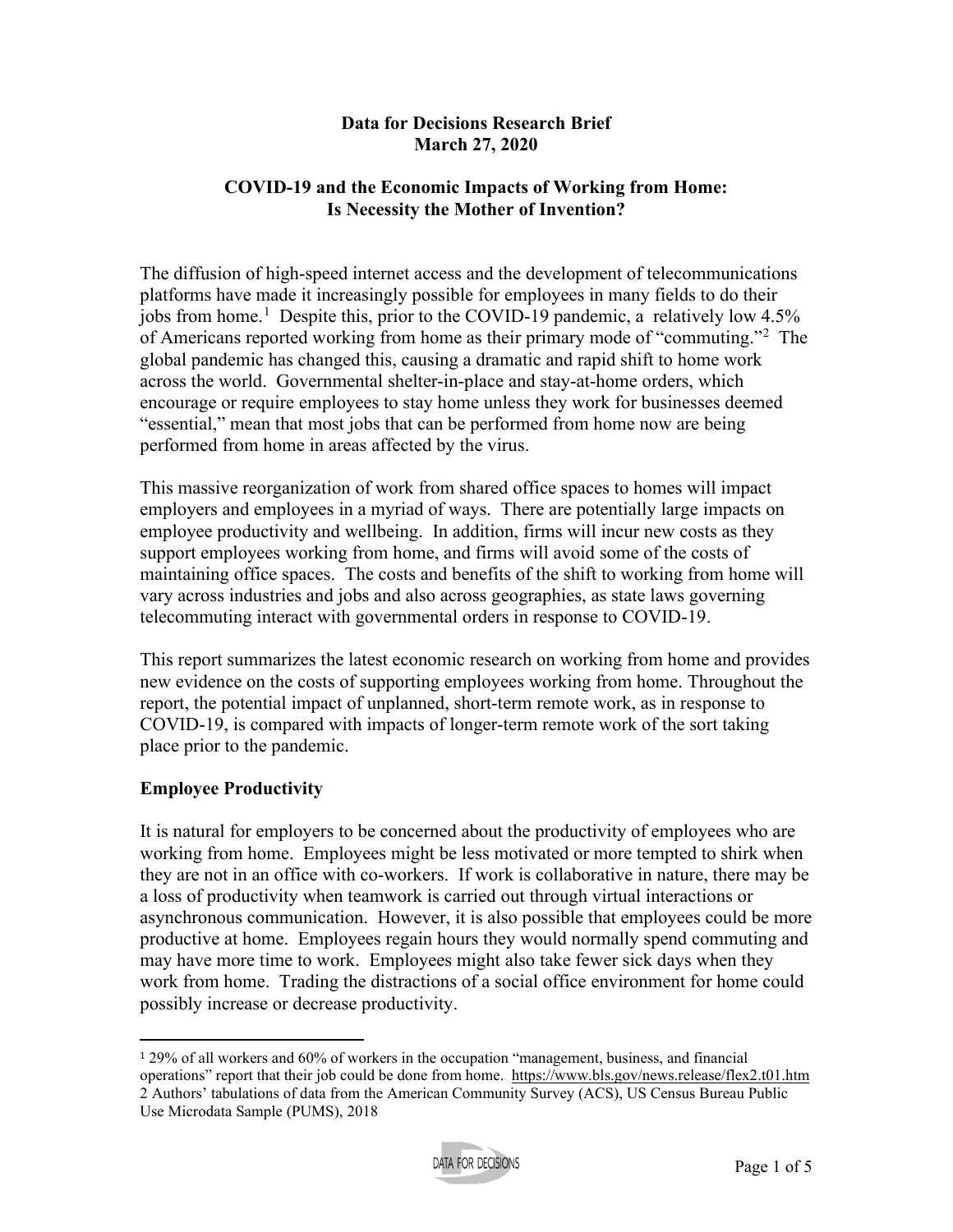#### **Data for Decisions Research Brief March 27, 2020**

## **COVID-19 and the Economic Impacts of Working from Home: Is Necessity the Mother of Invention?**

The diffusion of high-speed internet access and the development of telecommunications platforms have made it increasingly possible for employees in many fields to do their jobs from home.<sup>[1](#page-0-0)</sup> Despite this, prior to the COVID-19 pandemic, a relatively low 4.5% of Americans reported working from home as their primary mode of "commuting."<sup>[2](#page-0-1)</sup> The global pandemic has changed this, causing a dramatic and rapid shift to home work across the world. Governmental shelter-in-place and stay-at-home orders, which encourage or require employees to stay home unless they work for businesses deemed "essential," mean that most jobs that can be performed from home now are being performed from home in areas affected by the virus.

This massive reorganization of work from shared office spaces to homes will impact employers and employees in a myriad of ways. There are potentially large impacts on employee productivity and wellbeing. In addition, firms will incur new costs as they support employees working from home, and firms will avoid some of the costs of maintaining office spaces. The costs and benefits of the shift to working from home will vary across industries and jobs and also across geographies, as state laws governing telecommuting interact with governmental orders in response to COVID-19.

This report summarizes the latest economic research on working from home and provides new evidence on the costs of supporting employees working from home. Throughout the report, the potential impact of unplanned, short-term remote work, as in response to COVID-19, is compared with impacts of longer-term remote work of the sort taking place prior to the pandemic.

## **Employee Productivity**

It is natural for employers to be concerned about the productivity of employees who are working from home. Employees might be less motivated or more tempted to shirk when they are not in an office with co-workers. If work is collaborative in nature, there may be a loss of productivity when teamwork is carried out through virtual interactions or asynchronous communication. However, it is also possible that employees could be more productive at home. Employees regain hours they would normally spend commuting and may have more time to work. Employees might also take fewer sick days when they work from home. Trading the distractions of a social office environment for home could possibly increase or decrease productivity.

<span id="page-0-1"></span><span id="page-0-0"></span><sup>1</sup> 29% of all workers and 60% of workers in the occupation "management, business, and financial operations" report that their job could be done from home. <https://www.bls.gov/news.release/flex2.t01.htm> 2 Authors' tabulations of data from the American Community Survey (ACS), US Census Bureau Public Use Microdata Sample (PUMS), 2018

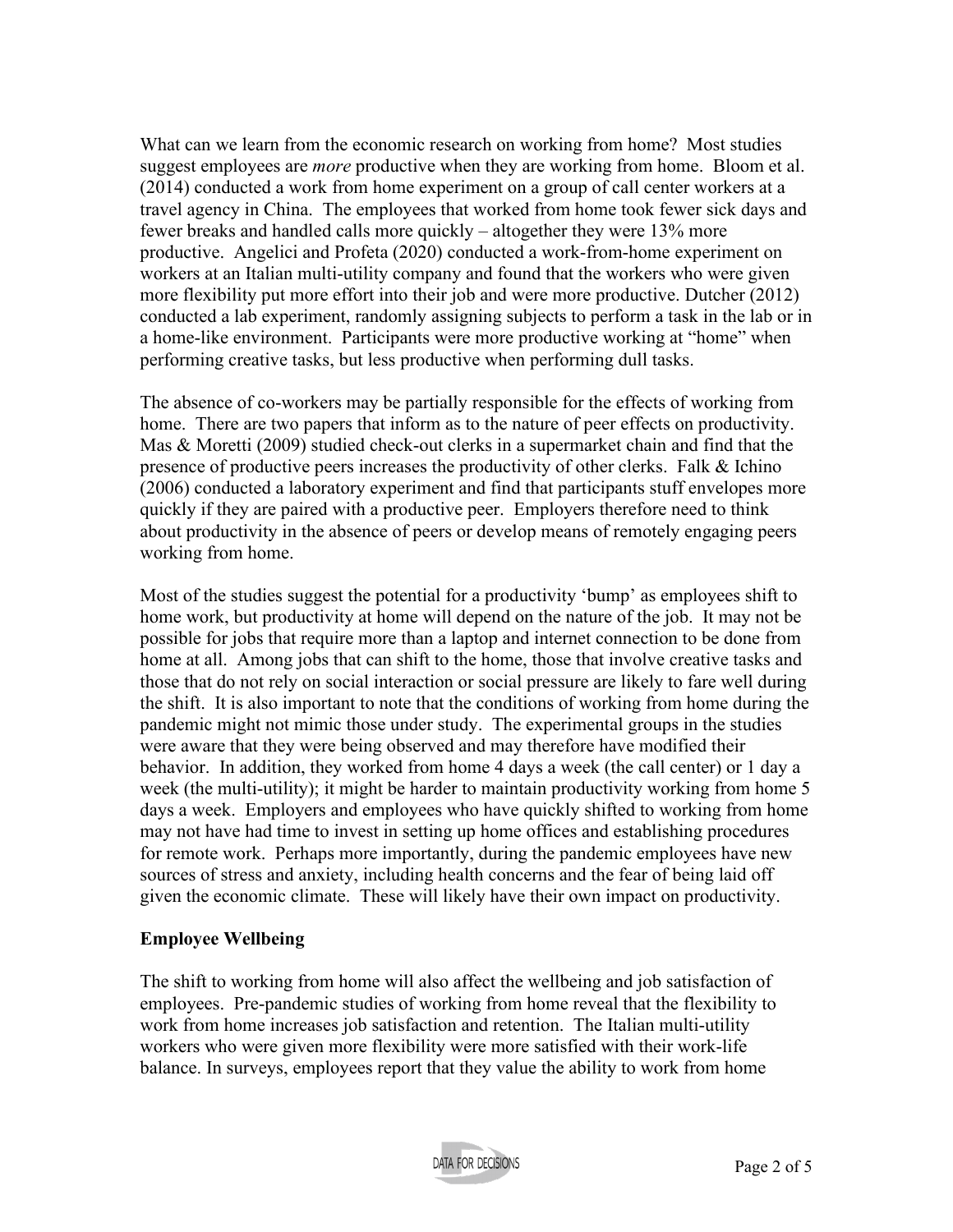What can we learn from the economic research on working from home? Most studies suggest employees are *more* productive when they are working from home. Bloom et al. (2014) conducted a work from home experiment on a group of call center workers at a travel agency in China. The employees that worked from home took fewer sick days and fewer breaks and handled calls more quickly – altogether they were 13% more productive. Angelici and Profeta (2020) conducted a work-from-home experiment on workers at an Italian multi-utility company and found that the workers who were given more flexibility put more effort into their job and were more productive. Dutcher (2012) conducted a lab experiment, randomly assigning subjects to perform a task in the lab or in a home-like environment. Participants were more productive working at "home" when performing creative tasks, but less productive when performing dull tasks.

The absence of co-workers may be partially responsible for the effects of working from home. There are two papers that inform as to the nature of peer effects on productivity. Mas & Moretti (2009) studied check-out clerks in a supermarket chain and find that the presence of productive peers increases the productivity of other clerks. Falk & Ichino (2006) conducted a laboratory experiment and find that participants stuff envelopes more quickly if they are paired with a productive peer. Employers therefore need to think about productivity in the absence of peers or develop means of remotely engaging peers working from home.

Most of the studies suggest the potential for a productivity 'bump' as employees shift to home work, but productivity at home will depend on the nature of the job. It may not be possible for jobs that require more than a laptop and internet connection to be done from home at all. Among jobs that can shift to the home, those that involve creative tasks and those that do not rely on social interaction or social pressure are likely to fare well during the shift. It is also important to note that the conditions of working from home during the pandemic might not mimic those under study. The experimental groups in the studies were aware that they were being observed and may therefore have modified their behavior. In addition, they worked from home 4 days a week (the call center) or 1 day a week (the multi-utility); it might be harder to maintain productivity working from home 5 days a week. Employers and employees who have quickly shifted to working from home may not have had time to invest in setting up home offices and establishing procedures for remote work. Perhaps more importantly, during the pandemic employees have new sources of stress and anxiety, including health concerns and the fear of being laid off given the economic climate. These will likely have their own impact on productivity.

## **Employee Wellbeing**

The shift to working from home will also affect the wellbeing and job satisfaction of employees. Pre-pandemic studies of working from home reveal that the flexibility to work from home increases job satisfaction and retention. The Italian multi-utility workers who were given more flexibility were more satisfied with their work-life balance. In surveys, employees report that they value the ability to work from home

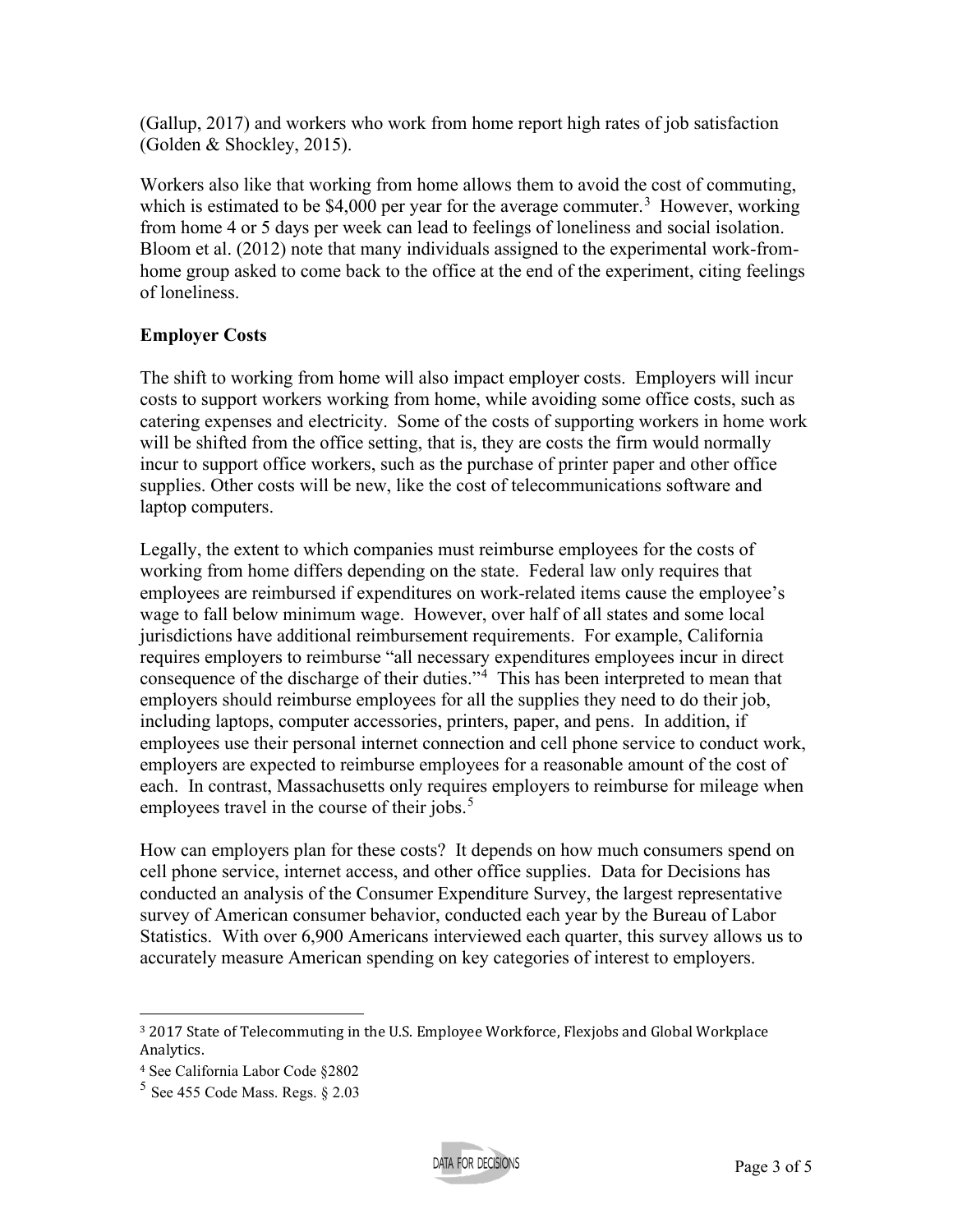(Gallup, 2017) and workers who work from home report high rates of job satisfaction (Golden & Shockley, 2015).

Workers also like that working from home allows them to avoid the cost of commuting, which is estimated to be \$4,000 per year for the average commuter.<sup>[3](#page-2-0)</sup> However, working from home 4 or 5 days per week can lead to feelings of loneliness and social isolation. Bloom et al. (2012) note that many individuals assigned to the experimental work-fromhome group asked to come back to the office at the end of the experiment, citing feelings of loneliness.

## **Employer Costs**

The shift to working from home will also impact employer costs. Employers will incur costs to support workers working from home, while avoiding some office costs, such as catering expenses and electricity. Some of the costs of supporting workers in home work will be shifted from the office setting, that is, they are costs the firm would normally incur to support office workers, such as the purchase of printer paper and other office supplies. Other costs will be new, like the cost of telecommunications software and laptop computers.

Legally, the extent to which companies must reimburse employees for the costs of working from home differs depending on the state. Federal law only requires that employees are reimbursed if expenditures on work-related items cause the employee's wage to fall below minimum wage. However, over half of all states and some local jurisdictions have additional reimbursement requirements. For example, California requires employers to reimburse "all necessary expenditures employees incur in direct consequence of the discharge of their duties."<sup>[4](#page-2-1)</sup> This has been interpreted to mean that employers should reimburse employees for all the supplies they need to do their job, including laptops, computer accessories, printers, paper, and pens. In addition, if employees use their personal internet connection and cell phone service to conduct work, employers are expected to reimburse employees for a reasonable amount of the cost of each. In contrast, Massachusetts only requires employers to reimburse for mileage when employees travel in the course of their jobs. $5$ 

How can employers plan for these costs? It depends on how much consumers spend on cell phone service, internet access, and other office supplies. Data for Decisions has conducted an analysis of the Consumer Expenditure Survey, the largest representative survey of American consumer behavior, conducted each year by the Bureau of Labor Statistics. With over 6,900 Americans interviewed each quarter, this survey allows us to accurately measure American spending on key categories of interest to employers.



<span id="page-2-0"></span><sup>3</sup> 2017 State of Telecommuting in the U.S. Employee Workforce, Flexjobs and Global Workplace Analytics.

<span id="page-2-1"></span><sup>4</sup> See California Labor Code §2802

<span id="page-2-2"></span> $5$  See 455 Code Mass. Regs.  $82.03$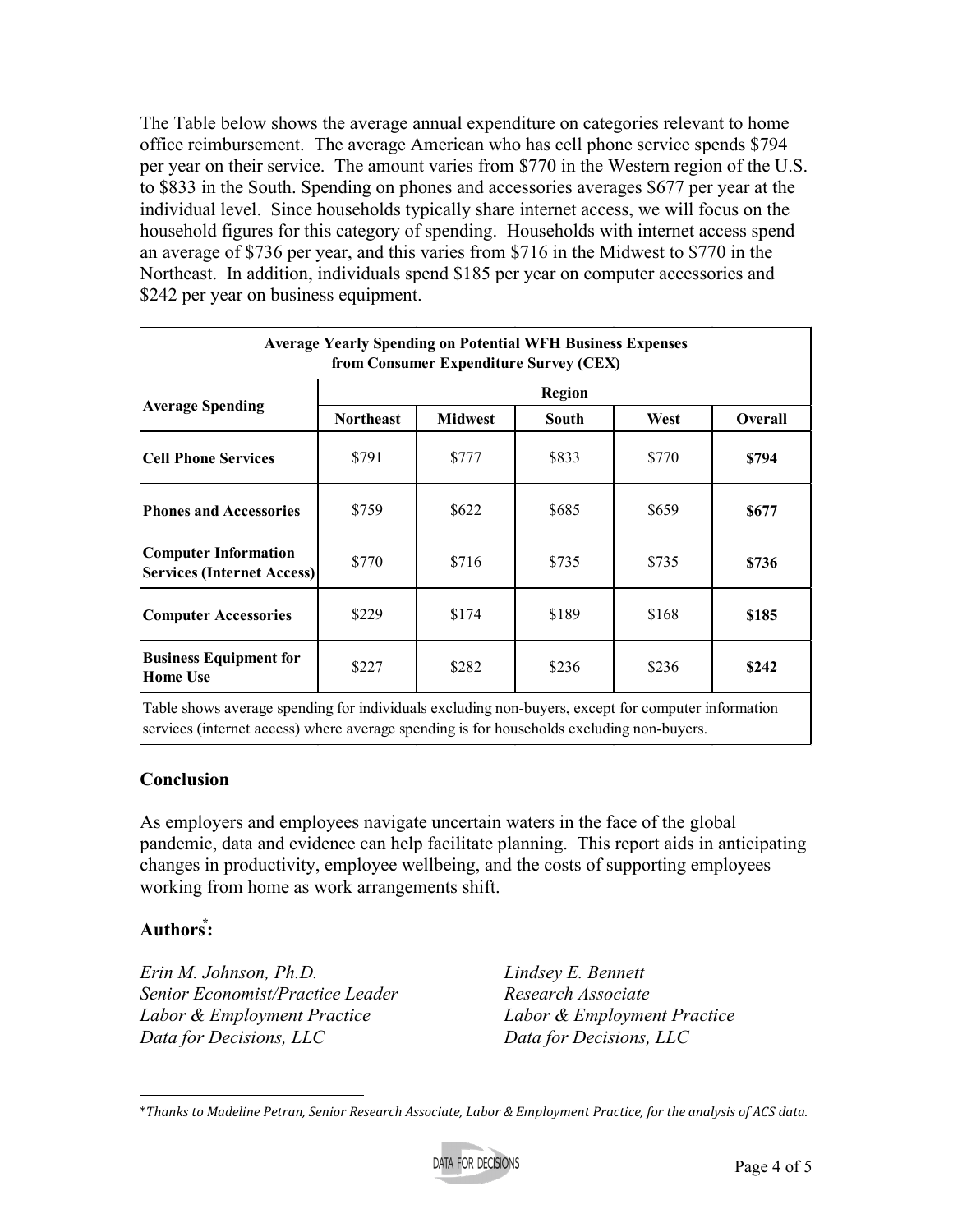The Table below shows the average annual expenditure on categories relevant to home office reimbursement. The average American who has cell phone service spends \$794 per year on their service. The amount varies from \$770 in the Western region of the U.S. to \$833 in the South. Spending on phones and accessories averages \$677 per year at the individual level. Since households typically share internet access, we will focus on the household figures for this category of spending. Households with internet access spend an average of \$736 per year, and this varies from \$716 in the Midwest to \$770 in the Northeast. In addition, individuals spend \$185 per year on computer accessories and \$242 per year on business equipment.

| <b>Average Yearly Spending on Potential WFH Business Expenses</b><br>from Consumer Expenditure Survey (CEX) |                  |                |       |       |         |
|-------------------------------------------------------------------------------------------------------------|------------------|----------------|-------|-------|---------|
| <b>Average Spending</b>                                                                                     | <b>Region</b>    |                |       |       |         |
|                                                                                                             | <b>Northeast</b> | <b>Midwest</b> | South | West  | Overall |
| Cell Phone Services                                                                                         | \$791            | \$777          | \$833 | \$770 | \$794   |
| <b>Phones and Accessories</b>                                                                               | \$759            | \$622          | \$685 | \$659 | \$677   |
| <b>Computer Information</b><br><b>Services (Internet Access)</b>                                            | \$770            | \$716          | \$735 | \$735 | \$736   |
| <b>Computer Accessories</b>                                                                                 | \$229            | \$174          | \$189 | \$168 | \$185   |
| <b>Business Equipment for</b><br><b>Home Use</b>                                                            | \$227            | \$282          | \$236 | \$236 | \$242   |
| Table shows average spending for individuals excluding non-buyers except for computer information           |                  |                |       |       |         |

average spending for individuals excluding non-buyers, except for comp services (internet access) where average spending is for households excluding non-buyers.

## **Conclusion**

As employers and employees navigate uncertain waters in the face of the global pandemic, data and evidence can help facilitate planning. This report aids in anticipating changes in productivity, employee wellbeing, and the costs of supporting employees working from home as work arrangements shift.

# **Authors⃰ [6:](#page-3-0)**

*Erin M. Johnson, Ph.D. Senior Economist/Practice Leader Labor & Employment Practice Data for Decisions, LLC*

*Lindsey E. Bennett Research Associate Labor & Employment Practice Data for Decisions, LLC*

<span id="page-3-0"></span><sup>\*</sup>*Thanks to Madeline Petran, Senior Research Associate, Labor & Employment Practice, for the analysis of ACS data.*